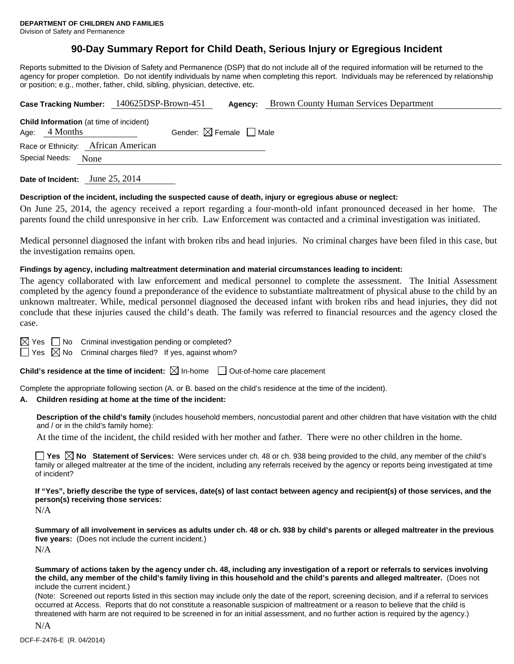## **90-Day Summary Report for Child Death, Serious Injury or Egregious Incident**

Reports submitted to the Division of Safety and Permanence (DSP) that do not include all of the required information will be returned to the agency for proper completion. Do not identify individuals by name when completing this report. Individuals may be referenced by relationship or position; e.g., mother, father, child, sibling, physician, detective, etc.

|  |                 |                                                | Case Tracking Number: 140625DSP-Brown-451 |                                        | Brown County Human Services Department |  |
|--|-----------------|------------------------------------------------|-------------------------------------------|----------------------------------------|----------------------------------------|--|
|  | Age: $4$ Months | <b>Child Information</b> (at time of incident) |                                           | Gender: $\boxtimes$ Female $\Box$ Male |                                        |  |
|  |                 | Race or Ethnicity: African American            |                                           |                                        |                                        |  |
|  | Special Needs:  | None                                           |                                           |                                        |                                        |  |
|  |                 |                                                |                                           |                                        |                                        |  |

**Date of Incident:** June 25, 2014

#### **Description of the incident, including the suspected cause of death, injury or egregious abuse or neglect:**

On June 25, 2014, the agency received a report regarding a four-month-old infant pronounced deceased in her home. The parents found the child unresponsive in her crib. Law Enforcement was contacted and a criminal investigation was initiated.

Medical personnel diagnosed the infant with broken ribs and head injuries. No criminal charges have been filed in this case, but the investigation remains open.

#### **Findings by agency, including maltreatment determination and material circumstances leading to incident:**

The agency collaborated with law enforcement and medical personnel to complete the assessment. The Initial Assessment completed by the agency found a preponderance of the evidence to substantiate maltreatment of physical abuse to the child by an unknown maltreater. While, medical personnel diagnosed the deceased infant with broken ribs and head injuries, they did not conclude that these injuries caused the child's death. The family was referred to financial resources and the agency closed the case.

 $\boxtimes$  Yes  $\Box$  No Criminal investigation pending or completed?

 $\Box$  Yes  $\boxtimes$  No Criminal charges filed? If yes, against whom?

**Child's residence at the time of incident:**  $\boxtimes$  In-home  $\Box$  Out-of-home care placement

Complete the appropriate following section (A. or B. based on the child's residence at the time of the incident).

#### **A. Children residing at home at the time of the incident:**

**Description of the child's family** (includes household members, noncustodial parent and other children that have visitation with the child and / or in the child's family home):

At the time of the incident, the child resided with her mother and father. There were no other children in the home.

**Yes**  $\boxtimes$  **No** Statement of Services: Were services under ch. 48 or ch. 938 being provided to the child, any member of the child's family or alleged maltreater at the time of the incident, including any referrals received by the agency or reports being investigated at time of incident?

**If "Yes", briefly describe the type of services, date(s) of last contact between agency and recipient(s) of those services, and the person(s) receiving those services:** 

N/A

**Summary of all involvement in services as adults under ch. 48 or ch. 938 by child's parents or alleged maltreater in the previous five years:** (Does not include the current incident.) N/A

**Summary of actions taken by the agency under ch. 48, including any investigation of a report or referrals to services involving the child, any member of the child's family living in this household and the child's parents and alleged maltreater.** (Does not include the current incident.)

(Note: Screened out reports listed in this section may include only the date of the report, screening decision, and if a referral to services occurred at Access. Reports that do not constitute a reasonable suspicion of maltreatment or a reason to believe that the child is threatened with harm are not required to be screened in for an initial assessment, and no further action is required by the agency.)

N/A